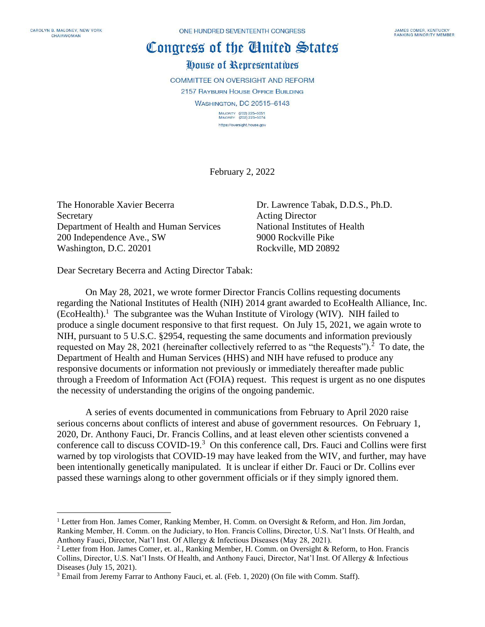## Congress of the Cinited States House of Representatives

COMMITTEE ON OVERSIGHT AND REFORM 2157 RAYBURN HOUSE OFFICE BUILDING WASHINGTON, DC 20515-6143 MAJORITY (202) 225-5051<br>MINORITY (202) 225-5074 https://oversight.house.gov

February 2, 2022

The Honorable Xavier Becerra Dr. Lawrence Tabak, D.D.S., Ph.D. Secretary Acting Director Department of Health and Human Services National Institutes of Health 200 Independence Ave., SW 9000 Rockville Pike Washington, D.C. 20201 Rockville, MD 20892

Dear Secretary Becerra and Acting Director Tabak:

On May 28, 2021, we wrote former Director Francis Collins requesting documents regarding the National Institutes of Health (NIH) 2014 grant awarded to EcoHealth Alliance, Inc.  $(Ecof Health).$ <sup>1</sup> The subgrantee was the Wuhan Institute of Virology (WIV). NIH failed to produce a single document responsive to that first request. On July 15, 2021, we again wrote to NIH, pursuant to 5 U.S.C. §2954, requesting the same documents and information previously requested on May 28, 2021 (hereinafter collectively referred to as "the Requests").<sup>2</sup> To date, the Department of Health and Human Services (HHS) and NIH have refused to produce any responsive documents or information not previously or immediately thereafter made public through a Freedom of Information Act (FOIA) request. This request is urgent as no one disputes the necessity of understanding the origins of the ongoing pandemic.

A series of events documented in communications from February to April 2020 raise serious concerns about conflicts of interest and abuse of government resources. On February 1, 2020, Dr. Anthony Fauci, Dr. Francis Collins, and at least eleven other scientists convened a conference call to discuss COVID-19.<sup>3</sup> On this conference call, Drs. Fauci and Collins were first warned by top virologists that COVID-19 may have leaked from the WIV, and further, may have been intentionally genetically manipulated. It is unclear if either Dr. Fauci or Dr. Collins ever passed these warnings along to other government officials or if they simply ignored them.

<sup>&</sup>lt;sup>1</sup> Letter from Hon. James Comer, Ranking Member, H. Comm. on Oversight & Reform, and Hon. Jim Jordan, Ranking Member, H. Comm. on the Judiciary, to Hon. Francis Collins, Director, U.S. Nat'l Insts. Of Health, and Anthony Fauci, Director, Nat'l Inst. Of Allergy & Infectious Diseases (May 28, 2021).

<sup>2</sup> Letter from Hon. James Comer, et. al., Ranking Member, H. Comm. on Oversight & Reform, to Hon. Francis Collins, Director, U.S. Nat'l Insts. Of Health, and Anthony Fauci, Director, Nat'l Inst. Of Allergy & Infectious Diseases (July 15, 2021).

<sup>&</sup>lt;sup>3</sup> Email from Jeremy Farrar to Anthony Fauci, et. al. (Feb. 1, 2020) (On file with Comm. Staff).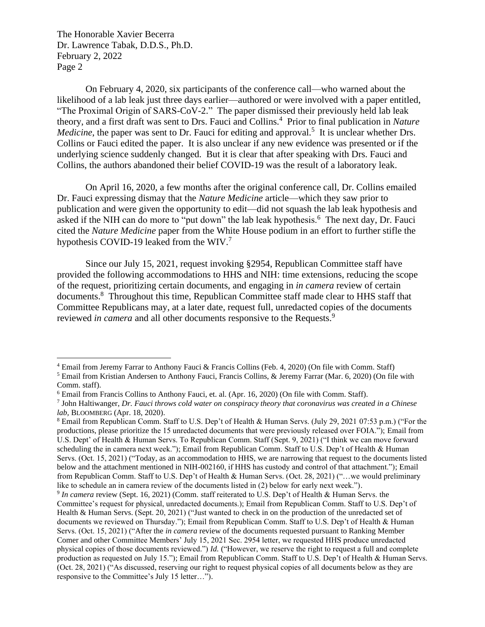On February 4, 2020, six participants of the conference call—who warned about the likelihood of a lab leak just three days earlier—authored or were involved with a paper entitled, "The Proximal Origin of SARS-CoV-2." The paper dismissed their previously held lab leak theory, and a first draft was sent to Drs. Fauci and Collins.<sup>4</sup> Prior to final publication in *Nature Medicine*, the paper was sent to Dr. Fauci for editing and approval.<sup>5</sup> It is unclear whether Drs. Collins or Fauci edited the paper. It is also unclear if any new evidence was presented or if the underlying science suddenly changed. But it is clear that after speaking with Drs. Fauci and Collins, the authors abandoned their belief COVID-19 was the result of a laboratory leak.

On April 16, 2020, a few months after the original conference call, Dr. Collins emailed Dr. Fauci expressing dismay that the *Nature Medicine* article—which they saw prior to publication and were given the opportunity to edit—did not squash the lab leak hypothesis and asked if the NIH can do more to "put down" the lab leak hypothesis.<sup>6</sup> The next day, Dr. Fauci cited the *Nature Medicine* paper from the White House podium in an effort to further stifle the hypothesis COVID-19 leaked from the WIV.<sup>7</sup>

Since our July 15, 2021, request invoking §2954, Republican Committee staff have provided the following accommodations to HHS and NIH: time extensions, reducing the scope of the request, prioritizing certain documents, and engaging in *in camera* review of certain documents.<sup>8</sup> Throughout this time, Republican Committee staff made clear to HHS staff that Committee Republicans may, at a later date, request full, unredacted copies of the documents reviewed *in camera* and all other documents responsive to the Requests. 9

<sup>4</sup> Email from Jeremy Farrar to Anthony Fauci & Francis Collins (Feb. 4, 2020) (On file with Comm. Staff)

<sup>5</sup> Email from Kristian Andersen to Anthony Fauci, Francis Collins, & Jeremy Farrar (Mar. 6, 2020) (On file with Comm. staff).

<sup>6</sup> Email from Francis Collins to Anthony Fauci, et. al. (Apr. 16, 2020) (On file with Comm. Staff).

<sup>7</sup> John Haltiwanger, *Dr. Fauci throws cold water on conspiracy theory that coronavirus was created in a Chinese lab,* BLOOMBERG (Apr. 18, 2020).

<sup>8</sup> Email from Republican Comm. Staff to U.S. Dep't of Health & Human Servs. (July 29, 2021 07:53 p.m.) ("For the productions, please prioritize the 15 unredacted documents that were previously released over FOIA."); Email from U.S. Dept' of Health & Human Servs. To Republican Comm. Staff (Sept. 9, 2021) ("I think we can move forward scheduling the in camera next week."); Email from Republican Comm. Staff to U.S. Dep't of Health & Human Servs. (Oct. 15, 2021) ("Today, as an accommodation to HHS, we are narrowing that request to the documents listed below and the attachment mentioned in NIH-002160, if HHS has custody and control of that attachment."); Email from Republican Comm. Staff to U.S. Dep't of Health & Human Servs. (Oct. 28, 2021) ("…we would preliminary like to schedule an in camera review of the documents listed in (2) below for early next week."). 9 *In camera* review (Sept. 16, 2021) (Comm. staff reiterated to U.S. Dep't of Health & Human Servs. the

Committee's request for physical, unredacted documents.); Email from Republican Comm. Staff to U.S. Dep't of Health & Human Servs. (Sept. 20, 2021) ("Just wanted to check in on the production of the unredacted set of documents we reviewed on Thursday."); Email from Republican Comm. Staff to U.S. Dep't of Health & Human Servs. (Oct. 15, 2021) ("After the *in camera* review of the documents requested pursuant to Ranking Member Comer and other Committee Members' July 15, 2021 Sec. 2954 letter, we requested HHS produce unredacted physical copies of those documents reviewed.") *Id.* ("However, we reserve the right to request a full and complete production as requested on July 15."); Email from Republican Comm. Staff to U.S. Dep't of Health & Human Servs. (Oct. 28, 2021) ("As discussed, reserving our right to request physical copies of all documents below as they are responsive to the Committee's July 15 letter…").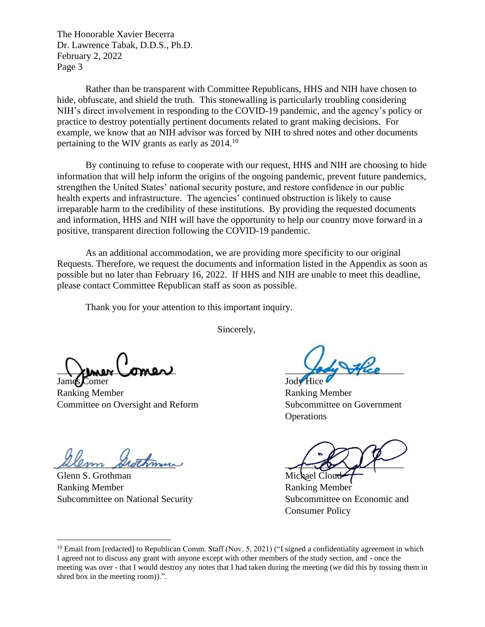Rather than be transparent with Committee Republicans, HHS and NIH have chosen to hide, obfuscate, and shield the truth. This stonewalling is particularly troubling considering NIH's direct involvement in responding to the COVID-19 pandemic, and the agency's policy or practice to destroy potentially pertinent documents related to grant making decisions. For example, we know that an NIH advisor was forced by NIH to shred notes and other documents pertaining to the WIV grants as early as 2014.<sup>10</sup>

By continuing to refuse to cooperate with our request, HHS and NIH are choosing to hide information that will help inform the origins of the ongoing pandemic, prevent future pandemics, strengthen the United States' national security posture, and restore confidence in our public health experts and infrastructure. The agencies' continued obstruction is likely to cause irreparable harm to the credibility of these institutions. By providing the requested documents and information, HHS and NIH will have the opportunity to help our country move forward in a positive, transparent direction following the COVID-19 pandemic.

As an additional accommodation, we are providing more specificity to our original Requests. Therefore, we request the documents and information listed in the Appendix as soon as possible but no later than February 16, 2022. If HHS and NIH are unable to meet this deadline, please contact Committee Republican staff as soon as possible.

Thank you for your attention to this important inquiry.

Sincerely,

 $\downarrow$  theor comes  $\downarrow$ 

James Comer Jody Hice Ranking Member **Ranking Member** Committee on Oversight and Reform Subcommittee on Government

 $\mathscr{A\!}\mathscr{A\!}\mathscr{A}$ 

Glenn S. Grothman Michael Cloud Ranking Member Ranking Member Subcommittee on National Security Subcommittee on Economic and

**Operations** 

Consumer Policy

<sup>&</sup>lt;sup>10</sup> Email from [redacted] to Republican Comm. Staff (Nov. 5, 2021) ("I signed a confidentiality agreement in which I agreed not to discuss any grant with anyone except with other members of the study section, and - once the meeting was over - that I would destroy any notes that I had taken during the meeting (we did this by tossing them in shred box in the meeting room)).".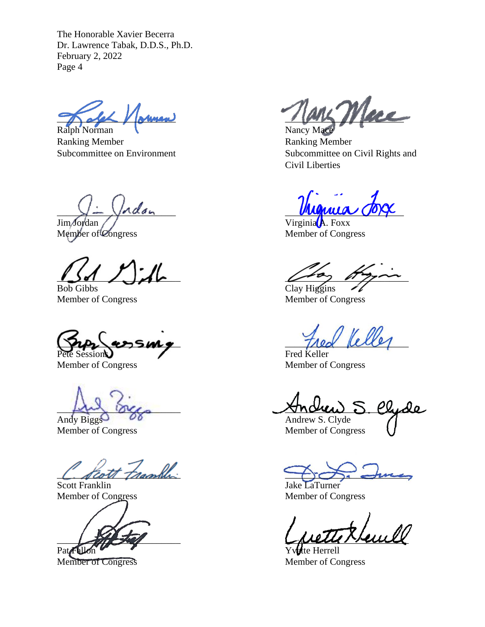Ralph Norman Nancy Mace Ranking Member **Ranking Member** Ranking Member

 $\lim$  Jordan  $\int$   $\int$   $\frac{1}{\ln \sqrt{2}}$   $\frac{1}{\ln \sqrt{2}}$   $\frac{1}{\ln \sqrt{2}}$   $\frac{1}{\ln \sqrt{2}}$   $\frac{1}{\ln \sqrt{2}}$   $\frac{1}{\ln \sqrt{2}}$   $\frac{1}{\ln \sqrt{2}}$   $\frac{1}{\ln \sqrt{2}}$   $\frac{1}{\ln \sqrt{2}}$   $\frac{1}{\ln \sqrt{2}}$   $\frac{1}{\ln \sqrt{2}}$   $\frac{1}{\ln \sqrt{2}}$   $\frac{1}{\ln \sqrt{2}}$   $\frac{$ 

Member of Congress Member of Congress

Bob Gibbs Clay Higgins

Fred Keller

Member of Congress Member of Congress

Andy Biggs  $\overrightarrow{OS}$  Andrew S. Clyde

Member of Congress Member of Congress

C. Scott Franklin

Pat Fallon Yvette Herrell

 $\eta_{\text{aux}}$  Mary Merce

Subcommittee on Environment Subcommittee on Civil Rights and Civil Liberties

 $\lambda - \lambda$ dan myuma voye

 $\omega$ 

Member of Congress Member of Congress

ussing the field

 $\Box$  occo move  $\Box$ 

Jake LaTurner Member of Congress Member of Congress

 $\bigcup_{u \in \mathcal{U}} \bigcup_{u \in \mathcal{U}} \bigcup_{u \in \mathcal{U}} \bigcup_{u \in \mathcal{U}} \bigcup_{u \in \mathcal{U}} \bigcup_{u \in \mathcal{U}} \bigcup_{u \in \mathcal{U}} \bigcup_{u \in \mathcal{U}} \bigcup_{u \in \mathcal{U}} \bigcup_{u \in \mathcal{U}} \bigcup_{u \in \mathcal{U}} \bigcup_{u \in \mathcal{U}} \bigcup_{u \in \mathcal{U}} \bigcup_{u \in \mathcal{U}} \bigcup_{u \in \mathcal{U}} \bigcup_{u \in \mathcal{U}} \bigcup_{u \in \mathcal{U$ 

Member of Congress Member of Congress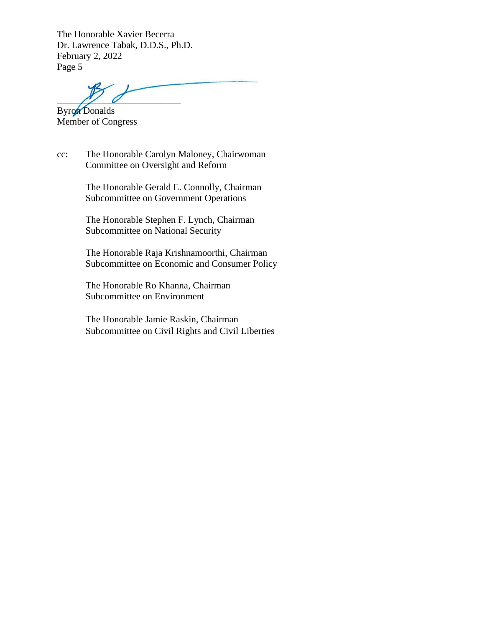$\frac{N}{2}$ 

Byron Donalds Member of Congress

cc: The Honorable Carolyn Maloney, Chairwoman Committee on Oversight and Reform

> The Honorable Gerald E. Connolly, Chairman Subcommittee on Government Operations

The Honorable Stephen F. Lynch, Chairman Subcommittee on National Security

The Honorable Raja Krishnamoorthi, Chairman Subcommittee on Economic and Consumer Policy

The Honorable Ro Khanna, Chairman Subcommittee on Environment

The Honorable Jamie Raskin, Chairman Subcommittee on Civil Rights and Civil Liberties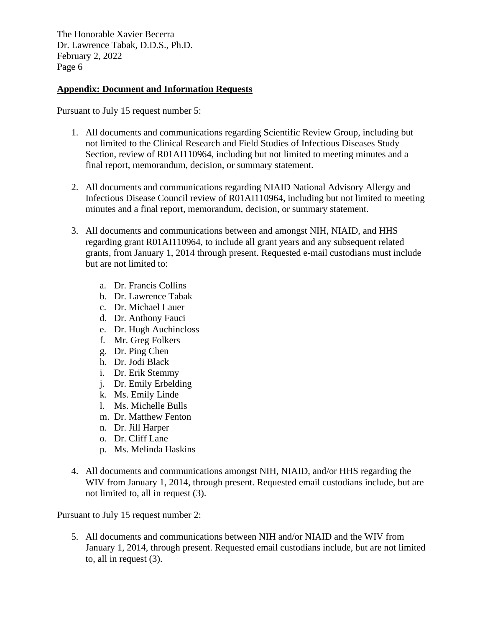## **Appendix: Document and Information Requests**

Pursuant to July 15 request number 5:

- 1. All documents and communications regarding Scientific Review Group, including but not limited to the Clinical Research and Field Studies of Infectious Diseases Study Section, review of R01AI110964, including but not limited to meeting minutes and a final report, memorandum, decision, or summary statement.
- 2. All documents and communications regarding NIAID National Advisory Allergy and Infectious Disease Council review of R01AI110964, including but not limited to meeting minutes and a final report, memorandum, decision, or summary statement.
- 3. All documents and communications between and amongst NIH, NIAID, and HHS regarding grant R01AI110964, to include all grant years and any subsequent related grants, from January 1, 2014 through present. Requested e-mail custodians must include but are not limited to:
	- a. Dr. Francis Collins
	- b. Dr. Lawrence Tabak
	- c. Dr. Michael Lauer
	- d. Dr. Anthony Fauci
	- e. Dr. Hugh Auchincloss
	- f. Mr. Greg Folkers
	- g. Dr. Ping Chen
	- h. Dr. Jodi Black
	- i. Dr. Erik Stemmy
	- j. Dr. Emily Erbelding
	- k. Ms. Emily Linde
	- l. Ms. Michelle Bulls
	- m. Dr. Matthew Fenton
	- n. Dr. Jill Harper
	- o. Dr. Cliff Lane
	- p. Ms. Melinda Haskins
- 4. All documents and communications amongst NIH, NIAID, and/or HHS regarding the WIV from January 1, 2014, through present. Requested email custodians include, but are not limited to, all in request (3).

Pursuant to July 15 request number 2:

5. All documents and communications between NIH and/or NIAID and the WIV from January 1, 2014, through present. Requested email custodians include, but are not limited to, all in request (3).